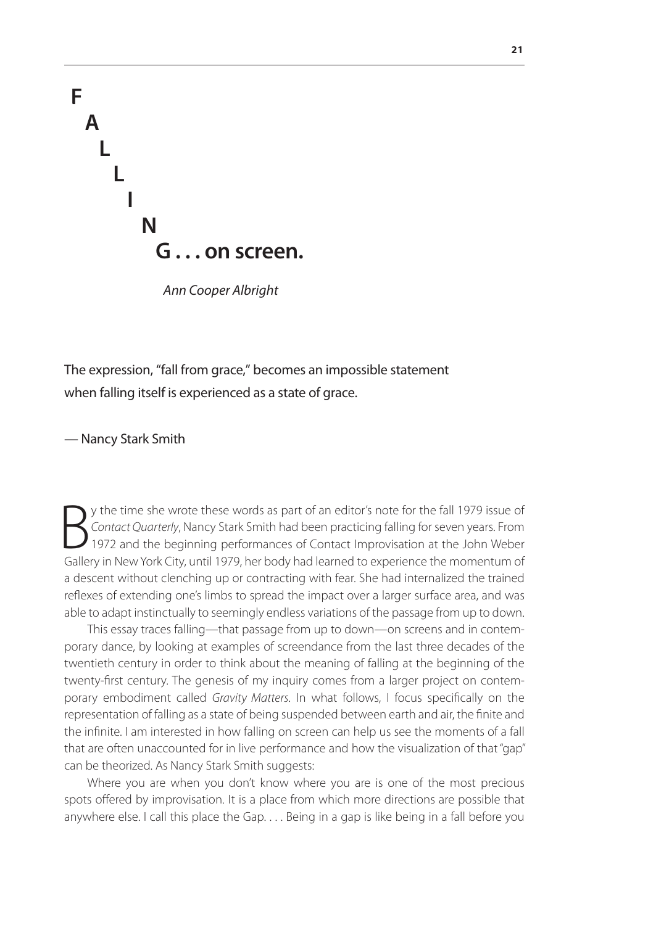

*Ann Cooper Albright*

The expression, "fall from grace," becomes an impossible statement when falling itself is experienced as a state of grace.

— Nancy Stark Smith

Southern these words as part of an editor's note for the fall 1979 issue of Contact Quarterly, Nancy Stark Smith had been practicing falling for seven years. From 1972 and the beginning performances of Contact Improvisatio y the time she wrote these words as part of an editor's note for the fall 1979 issue of *Contact Quarterly*, Nancy Stark Smith had been practicing falling for seven years. From 1972 and the beginning performances of Contact Improvisation at the John Weber a descent without clenching up or contracting with fear. She had internalized the trained reflexes of extending one's limbs to spread the impact over a larger surface area, and was able to adapt instinctually to seemingly endless variations of the passage from up to down.

This essay traces falling—that passage from up to down—on screens and in contemporary dance, by looking at examples of screendance from the last three decades of the twentieth century in order to think about the meaning of falling at the beginning of the twenty-first century. The genesis of my inquiry comes from a larger project on contemporary embodiment called *Gravity Matters*. In what follows, I focus specifically on the representation of falling as a state of being suspended between earth and air, the finite and the infinite. I am interested in how falling on screen can help us see the moments of a fall that are often unaccounted for in live performance and how the visualization of that "gap" can be theorized. As Nancy Stark Smith suggests:

Where you are when you don't know where you are is one of the most precious spots offered by improvisation. It is a place from which more directions are possible that anywhere else. I call this place the Gap. . . . Being in a gap is like being in a fall before you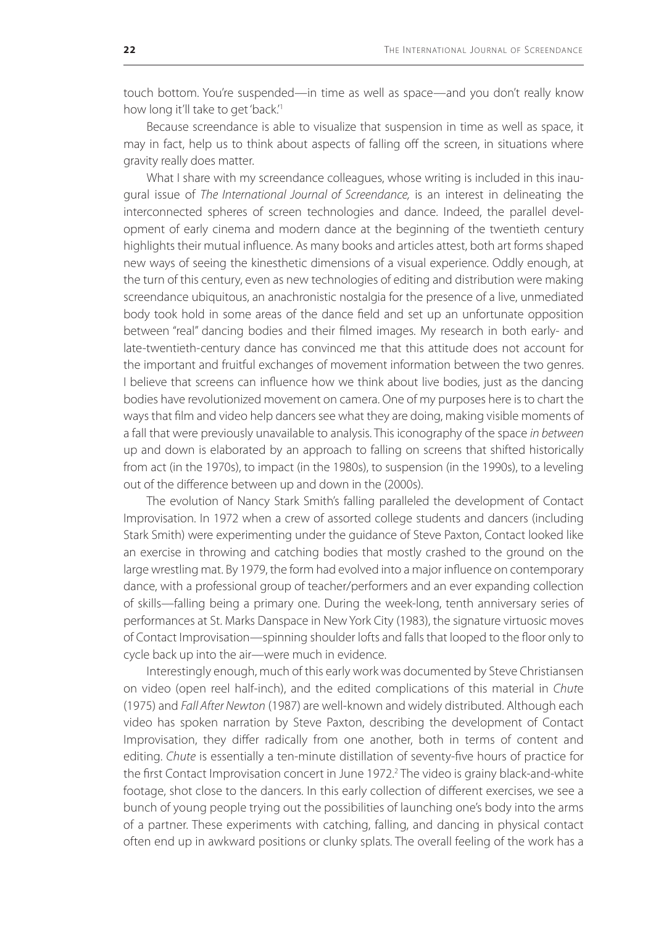touch bottom. You're suspended—in time as well as space—and you don't really know how long it'll take to get 'back.'1

Because screendance is able to visualize that suspension in time as well as space, it may in fact, help us to think about aspects of falling off the screen, in situations where gravity really does matter.

What I share with my screendance colleagues, whose writing is included in this inaugural issue of *The International Journal of Screendance,* is an interest in delineating the interconnected spheres of screen technologies and dance. Indeed, the parallel development of early cinema and modern dance at the beginning of the twentieth century highlights their mutual influence. As many books and articles attest, both art forms shaped new ways of seeing the kinesthetic dimensions of a visual experience. Oddly enough, at the turn of this century, even as new technologies of editing and distribution were making screendance ubiquitous, an anachronistic nostalgia for the presence of a live, unmediated body took hold in some areas of the dance field and set up an unfortunate opposition between "real" dancing bodies and their filmed images. My research in both early- and late-twentieth-century dance has convinced me that this attitude does not account for the important and fruitful exchanges of movement information between the two genres. I believe that screens can influence how we think about live bodies, just as the dancing bodies have revolutionized movement on camera. One of my purposes here is to chart the ways that film and video help dancers see what they are doing, making visible moments of a fall that were previously unavailable to analysis. This iconography of the space *in between* up and down is elaborated by an approach to falling on screens that shifted historically from act (in the 1970s), to impact (in the 1980s), to suspension (in the 1990s), to a leveling out of the difference between up and down in the (2000s).

The evolution of Nancy Stark Smith's falling paralleled the development of Contact Improvisation. In 1972 when a crew of assorted college students and dancers (including Stark Smith) were experimenting under the guidance of Steve Paxton, Contact looked like an exercise in throwing and catching bodies that mostly crashed to the ground on the large wrestling mat. By 1979, the form had evolved into a major influence on contemporary dance, with a professional group of teacher/performers and an ever expanding collection of skills—falling being a primary one. During the week-long, tenth anniversary series of performances at St. Marks Danspace in New York City (1983), the signature virtuosic moves of Contact Improvisation—spinning shoulder lofts and falls that looped to the floor only to cycle back up into the air—were much in evidence.

Interestingly enough, much of this early work was documented by Steve Christiansen on video (open reel half-inch), and the edited complications of this material in *Chut*e (1975) and *Fall After Newton* (1987) are well-known and widely distributed. Although each video has spoken narration by Steve Paxton, describing the development of Contact Improvisation, they differ radically from one another, both in terms of content and editing. *Chute* is essentially a ten-minute distillation of seventy-five hours of practice for the first Contact Improvisation concert in June 1972.<sup>2</sup> The video is grainy black-and-white footage, shot close to the dancers. In this early collection of different exercises, we see a bunch of young people trying out the possibilities of launching one's body into the arms of a partner. These experiments with catching, falling, and dancing in physical contact often end up in awkward positions or clunky splats. The overall feeling of the work has a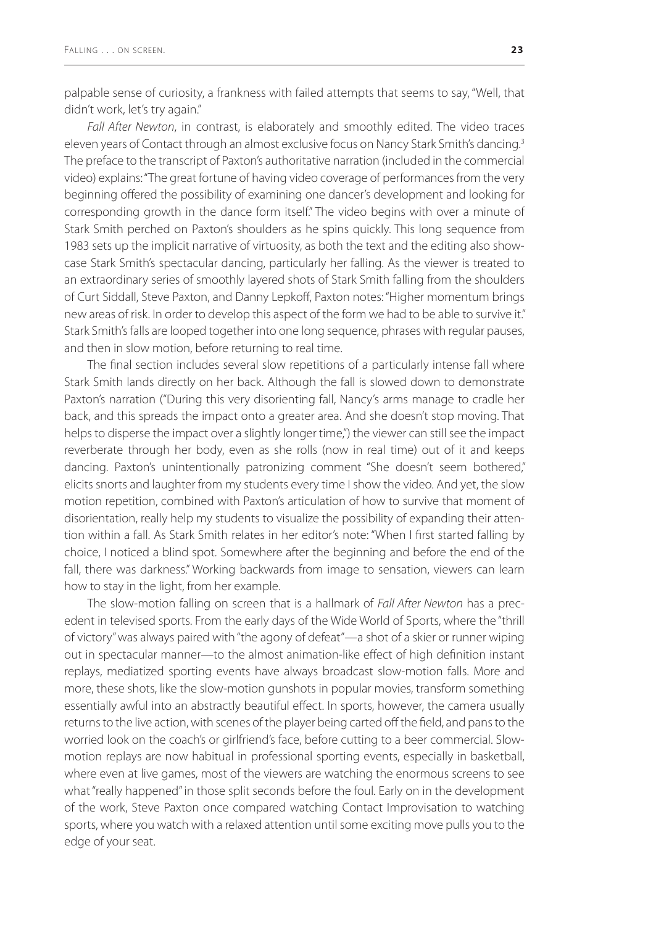palpable sense of curiosity, a frankness with failed attempts that seems to say, "Well, that didn't work, let's try again."

*Fall After Newton*, in contrast, is elaborately and smoothly edited. The video traces eleven years of Contact through an almost exclusive focus on Nancy Stark Smith's dancing.<sup>3</sup> The preface to the transcript of Paxton's authoritative narration (included in the commercial video) explains: "The great fortune of having video coverage of performances from the very beginning offered the possibility of examining one dancer's development and looking for corresponding growth in the dance form itself." The video begins with over a minute of Stark Smith perched on Paxton's shoulders as he spins quickly. This long sequence from 1983 sets up the implicit narrative of virtuosity, as both the text and the editing also showcase Stark Smith's spectacular dancing, particularly her falling. As the viewer is treated to an extraordinary series of smoothly layered shots of Stark Smith falling from the shoulders of Curt Siddall, Steve Paxton, and Danny Lepkoff, Paxton notes: "Higher momentum brings new areas of risk. In order to develop this aspect of the form we had to be able to survive it." Stark Smith's falls are looped together into one long sequence, phrases with regular pauses, and then in slow motion, before returning to real time.

The final section includes several slow repetitions of a particularly intense fall where Stark Smith lands directly on her back. Although the fall is slowed down to demonstrate Paxton's narration ("During this very disorienting fall, Nancy's arms manage to cradle her back, and this spreads the impact onto a greater area. And she doesn't stop moving. That helps to disperse the impact over a slightly longer time,") the viewer can still see the impact reverberate through her body, even as she rolls (now in real time) out of it and keeps dancing. Paxton's unintentionally patronizing comment "She doesn't seem bothered," elicits snorts and laughter from my students every time I show the video. And yet, the slow motion repetition, combined with Paxton's articulation of how to survive that moment of disorientation, really help my students to visualize the possibility of expanding their attention within a fall. As Stark Smith relates in her editor's note: "When I first started falling by choice, I noticed a blind spot. Somewhere after the beginning and before the end of the fall, there was darkness." Working backwards from image to sensation, viewers can learn how to stay in the light, from her example.

The slow-motion falling on screen that is a hallmark of *Fall After Newton* has a precedent in televised sports. From the early days of the Wide World of Sports, where the "thrill of victory" was always paired with "the agony of defeat"—a shot of a skier or runner wiping out in spectacular manner—to the almost animation-like effect of high definition instant replays, mediatized sporting events have always broadcast slow-motion falls. More and more, these shots, like the slow-motion gunshots in popular movies, transform something essentially awful into an abstractly beautiful effect. In sports, however, the camera usually returns to the live action, with scenes of the player being carted off the field, and pans to the worried look on the coach's or girlfriend's face, before cutting to a beer commercial. Slowmotion replays are now habitual in professional sporting events, especially in basketball, where even at live games, most of the viewers are watching the enormous screens to see what "really happened" in those split seconds before the foul. Early on in the development of the work, Steve Paxton once compared watching Contact Improvisation to watching sports, where you watch with a relaxed attention until some exciting move pulls you to the edge of your seat.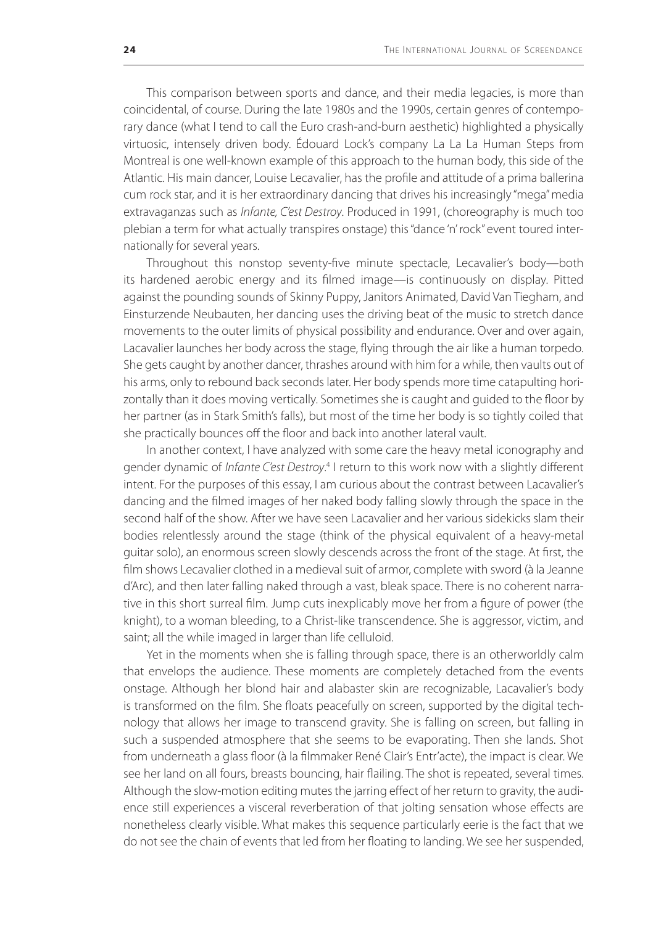This comparison between sports and dance, and their media legacies, is more than coincidental, of course. During the late 1980s and the 1990s, certain genres of contemporary dance (what I tend to call the Euro crash-and-burn aesthetic) highlighted a physically virtuosic, intensely driven body. Édouard Lock's company La La La Human Steps from Montreal is one well-known example of this approach to the human body, this side of the Atlantic. His main dancer, Louise Lecavalier, has the profile and attitude of a prima ballerina cum rock star, and it is her extraordinary dancing that drives his increasingly "mega" media extravaganzas such as *Infante, C'est Destroy*. Produced in 1991, (choreography is much too plebian a term for what actually transpires onstage) this "dance 'n' rock" event toured internationally for several years.

Throughout this nonstop seventy-five minute spectacle, Lecavalier's body—both its hardened aerobic energy and its filmed image—is continuously on display. Pitted against the pounding sounds of Skinny Puppy, Janitors Animated, David Van Tiegham, and Einsturzende Neubauten, her dancing uses the driving beat of the music to stretch dance movements to the outer limits of physical possibility and endurance. Over and over again, Lacavalier launches her body across the stage, flying through the air like a human torpedo. She gets caught by another dancer, thrashes around with him for a while, then vaults out of his arms, only to rebound back seconds later. Her body spends more time catapulting horizontally than it does moving vertically. Sometimes she is caught and guided to the floor by her partner (as in Stark Smith's falls), but most of the time her body is so tightly coiled that she practically bounces off the floor and back into another lateral vault.

In another context, I have analyzed with some care the heavy metal iconography and gender dynamic of *Infante C'est Destroy*.<sup>4</sup> I return to this work now with a slightly different intent. For the purposes of this essay, I am curious about the contrast between Lacavalier's dancing and the filmed images of her naked body falling slowly through the space in the second half of the show. After we have seen Lacavalier and her various sidekicks slam their bodies relentlessly around the stage (think of the physical equivalent of a heavy-metal guitar solo), an enormous screen slowly descends across the front of the stage. At first, the film shows Lecavalier clothed in a medieval suit of armor, complete with sword (à la Jeanne d'Arc), and then later falling naked through a vast, bleak space. There is no coherent narrative in this short surreal film. Jump cuts inexplicably move her from a figure of power (the knight), to a woman bleeding, to a Christ-like transcendence. She is aggressor, victim, and saint; all the while imaged in larger than life celluloid.

Yet in the moments when she is falling through space, there is an otherworldly calm that envelops the audience. These moments are completely detached from the events onstage. Although her blond hair and alabaster skin are recognizable, Lacavalier's body is transformed on the film. She floats peacefully on screen, supported by the digital technology that allows her image to transcend gravity. She is falling on screen, but falling in such a suspended atmosphere that she seems to be evaporating. Then she lands. Shot from underneath a glass floor (à la filmmaker René Clair's Entr'acte), the impact is clear. We see her land on all fours, breasts bouncing, hair flailing. The shot is repeated, several times. Although the slow-motion editing mutes the jarring effect of her return to gravity, the audience still experiences a visceral reverberation of that jolting sensation whose effects are nonetheless clearly visible. What makes this sequence particularly eerie is the fact that we do not see the chain of events that led from her floating to landing. We see her suspended,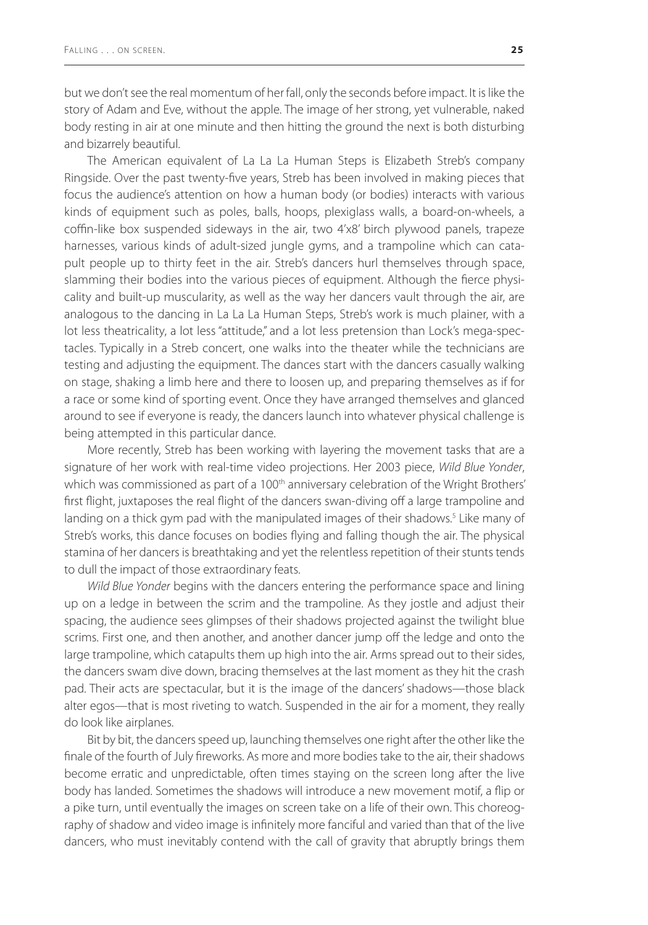but we don't see the real momentum of her fall, only the seconds before impact. It is like the story of Adam and Eve, without the apple. The image of her strong, yet vulnerable, naked body resting in air at one minute and then hitting the ground the next is both disturbing and bizarrely beautiful.

The American equivalent of La La La Human Steps is Elizabeth Streb's company Ringside. Over the past twenty-five years, Streb has been involved in making pieces that focus the audience's attention on how a human body (or bodies) interacts with various kinds of equipment such as poles, balls, hoops, plexiglass walls, a board-on-wheels, a coffin-like box suspended sideways in the air, two 4'x8' birch plywood panels, trapeze harnesses, various kinds of adult-sized jungle gyms, and a trampoline which can catapult people up to thirty feet in the air. Streb's dancers hurl themselves through space, slamming their bodies into the various pieces of equipment. Although the fierce physicality and built-up muscularity, as well as the way her dancers vault through the air, are analogous to the dancing in La La La Human Steps, Streb's work is much plainer, with a lot less theatricality, a lot less "attitude," and a lot less pretension than Lock's mega-spectacles. Typically in a Streb concert, one walks into the theater while the technicians are testing and adjusting the equipment. The dances start with the dancers casually walking on stage, shaking a limb here and there to loosen up, and preparing themselves as if for a race or some kind of sporting event. Once they have arranged themselves and glanced around to see if everyone is ready, the dancers launch into whatever physical challenge is being attempted in this particular dance.

More recently, Streb has been working with layering the movement tasks that are a signature of her work with real-time video projections. Her 2003 piece, *Wild Blue Yonder*, which was commissioned as part of a 100<sup>th</sup> anniversary celebration of the Wright Brothers' first flight, juxtaposes the real flight of the dancers swan-diving off a large trampoline and landing on a thick gym pad with the manipulated images of their shadows.<sup>5</sup> Like many of Streb's works, this dance focuses on bodies flying and falling though the air. The physical stamina of her dancers is breathtaking and yet the relentless repetition of their stunts tends to dull the impact of those extraordinary feats.

*Wild Blue Yonder* begins with the dancers entering the performance space and lining up on a ledge in between the scrim and the trampoline. As they jostle and adjust their spacing, the audience sees glimpses of their shadows projected against the twilight blue scrims. First one, and then another, and another dancer jump off the ledge and onto the large trampoline, which catapults them up high into the air. Arms spread out to their sides, the dancers swam dive down, bracing themselves at the last moment as they hit the crash pad. Their acts are spectacular, but it is the image of the dancers' shadows—those black alter egos—that is most riveting to watch. Suspended in the air for a moment, they really do look like airplanes.

Bit by bit, the dancers speed up, launching themselves one right after the other like the finale of the fourth of July fireworks. As more and more bodies take to the air, their shadows become erratic and unpredictable, often times staying on the screen long after the live body has landed. Sometimes the shadows will introduce a new movement motif, a flip or a pike turn, until eventually the images on screen take on a life of their own. This choreography of shadow and video image is infinitely more fanciful and varied than that of the live dancers, who must inevitably contend with the call of gravity that abruptly brings them